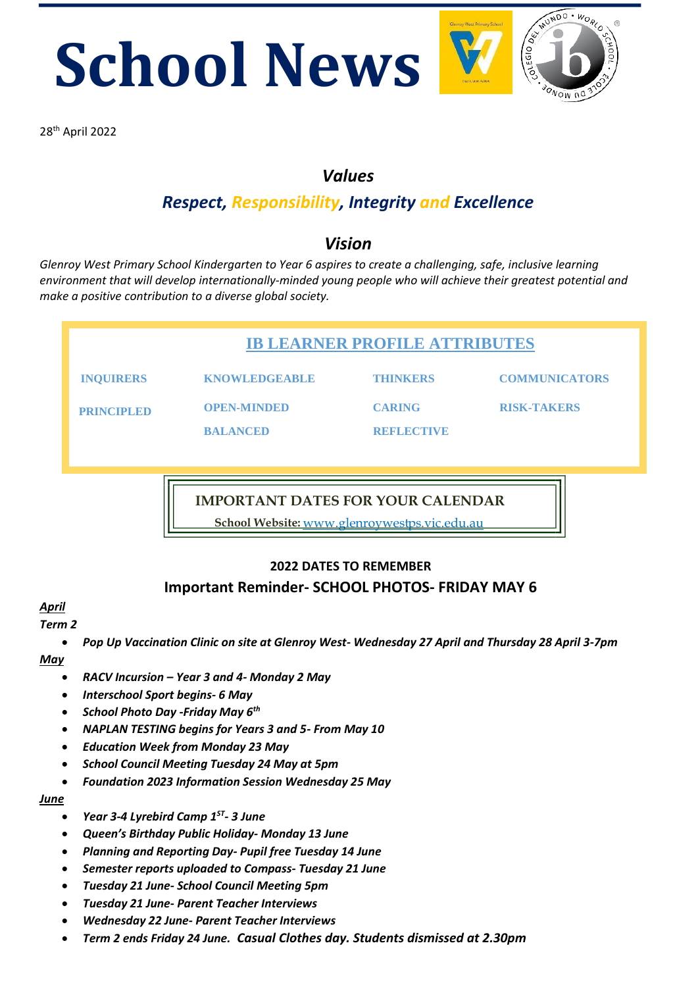**School News 28th April 2022** 



### *Values*

## *Respect, Responsibility, Integrity and Excellence*

### *Vision*

*Glenroy West Primary School Kindergarten to Year 6 aspires to create a challenging, safe, inclusive learning environment that will develop internationally-minded young people who will achieve their greatest potential and make a positive contribution to a diverse global society.* 

| <b>IB LEARNER PROFILE ATTRIBUTES</b> |                                       |                                    |                      |  |
|--------------------------------------|---------------------------------------|------------------------------------|----------------------|--|
| <b>INQUIRERS</b>                     | <b>KNOWLEDGEABLE</b>                  | <b>THINKERS</b>                    | <b>COMMUNICATORS</b> |  |
| <b>PRINCIPLED</b>                    | <b>OPEN-MINDED</b><br><b>BALANCED</b> | <b>CARING</b><br><b>REELECTIVE</b> | <b>RISK-TAKERS</b>   |  |
|                                      |                                       |                                    |                      |  |

**IMPORTANT DATES FOR YOUR CALENDAR**

**School Website:** www.glenroywestps.vic.edu.au

#### **2022 DATES TO REMEMBER Important Reminder- SCHOOL PHOTOS- FRIDAY MAY 6**

#### *April*

#### *Term 2*

• *Pop Up Vaccination Clinic on site at Glenroy West- Wednesday 27 April and Thursday 28 April 3-7pm May*

- *RACV Incursion – Year 3 and 4- Monday 2 May*
- *Interschool Sport begins- 6 May*
- *School Photo Day -Friday May 6th*
- *NAPLAN TESTING begins for Years 3 and 5- From May 10*
- *Education Week from Monday 23 May*
- *School Council Meeting Tuesday 24 May at 5pm*
- *Foundation 2023 Information Session Wednesday 25 May*

*June*

- *Year 3-4 Lyrebird Camp 1ST - 3 June*
- *Queen's Birthday Public Holiday- Monday 13 June*
- *Planning and Reporting Day- Pupil free Tuesday 14 June*
- *Semester reports uploaded to Compass- Tuesday 21 June*
- *Tuesday 21 June- School Council Meeting 5pm*
- *Tuesday 21 June- Parent Teacher Interviews*
- *Wednesday 22 June- Parent Teacher Interviews*
- *Term 2 ends Friday 24 June. Casual Clothes day. Students dismissed at 2.30pm*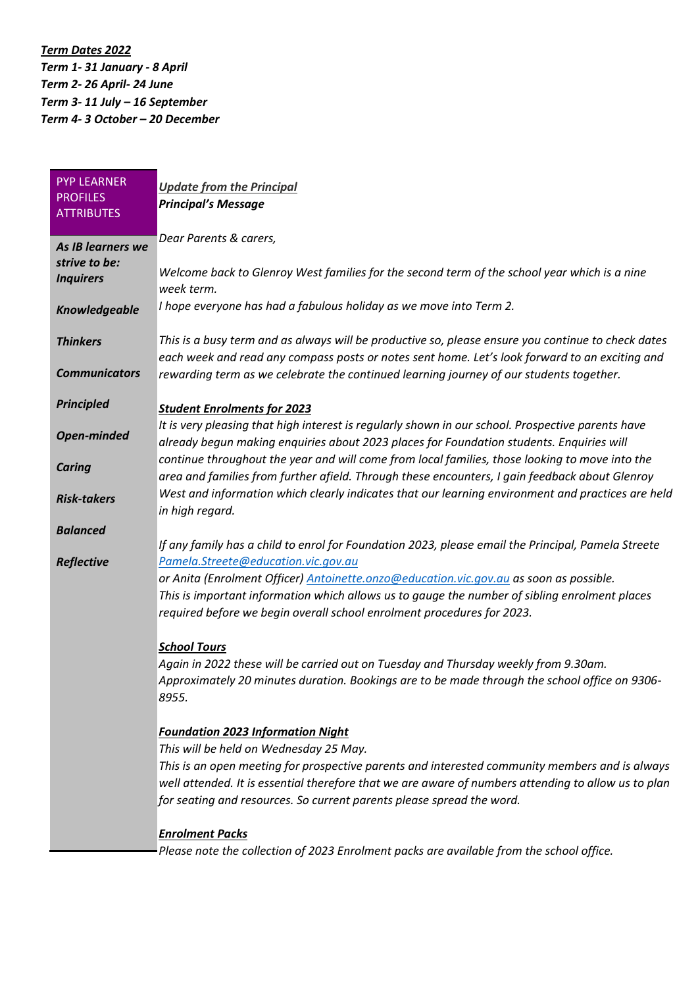*Term Dates 2022 Term 1- 31 January - 8 April Term 2- 26 April- 24 June Term 3- 11 July – 16 September Term 4- 3 October – 20 December*

| <b>PYP LEARNER</b>   | <b>Update from the Principal</b>                                                                    |
|----------------------|-----------------------------------------------------------------------------------------------------|
| <b>PROFILES</b>      | <b>Principal's Message</b>                                                                          |
| <b>ATTRIBUTES</b>    |                                                                                                     |
|                      | Dear Parents & carers,                                                                              |
| As IB learners we    |                                                                                                     |
| strive to be:        | Welcome back to Glenroy West families for the second term of the school year which is a nine        |
| <b>Inquirers</b>     | week term.                                                                                          |
| Knowledgeable        | I hope everyone has had a fabulous holiday as we move into Term 2.                                  |
|                      |                                                                                                     |
| <b>Thinkers</b>      | This is a busy term and as always will be productive so, please ensure you continue to check dates  |
|                      | each week and read any compass posts or notes sent home. Let's look forward to an exciting and      |
| <b>Communicators</b> | rewarding term as we celebrate the continued learning journey of our students together.             |
|                      |                                                                                                     |
| <b>Principled</b>    | <b>Student Enrolments for 2023</b>                                                                  |
|                      | It is very pleasing that high interest is regularly shown in our school. Prospective parents have   |
| <b>Open-minded</b>   | already begun making enquiries about 2023 places for Foundation students. Enquiries will            |
| <b>Caring</b>        | continue throughout the year and will come from local families, those looking to move into the      |
|                      | area and families from further afield. Through these encounters, I gain feedback about Glenroy      |
| <b>Risk-takers</b>   | West and information which clearly indicates that our learning environment and practices are held   |
|                      | in high regard.                                                                                     |
| <b>Balanced</b>      |                                                                                                     |
|                      | If any family has a child to enrol for Foundation 2023, please email the Principal, Pamela Streete  |
| Reflective           | Pamela.Streete@education.vic.gov.au                                                                 |
|                      | or Anita (Enrolment Officer) Antoinette.onzo@education.vic.gov.au as soon as possible.              |
|                      | This is important information which allows us to gauge the number of sibling enrolment places       |
|                      | required before we begin overall school enrolment procedures for 2023.                              |
|                      |                                                                                                     |
|                      | <b>School Tours</b>                                                                                 |
|                      | Again in 2022 these will be carried out on Tuesday and Thursday weekly from 9.30am.                 |
|                      | Approximately 20 minutes duration. Bookings are to be made through the school office on 9306-       |
|                      | 8955.                                                                                               |
|                      | <b>Foundation 2023 Information Night</b>                                                            |
|                      | This will be held on Wednesday 25 May.                                                              |
|                      | This is an open meeting for prospective parents and interested community members and is always      |
|                      | well attended. It is essential therefore that we are aware of numbers attending to allow us to plan |
|                      | for seating and resources. So current parents please spread the word.                               |
|                      |                                                                                                     |
|                      | <b>Enrolment Packs</b>                                                                              |
|                      | Please note the collection of 2023 Enrolment packs are available from the school office.            |
|                      |                                                                                                     |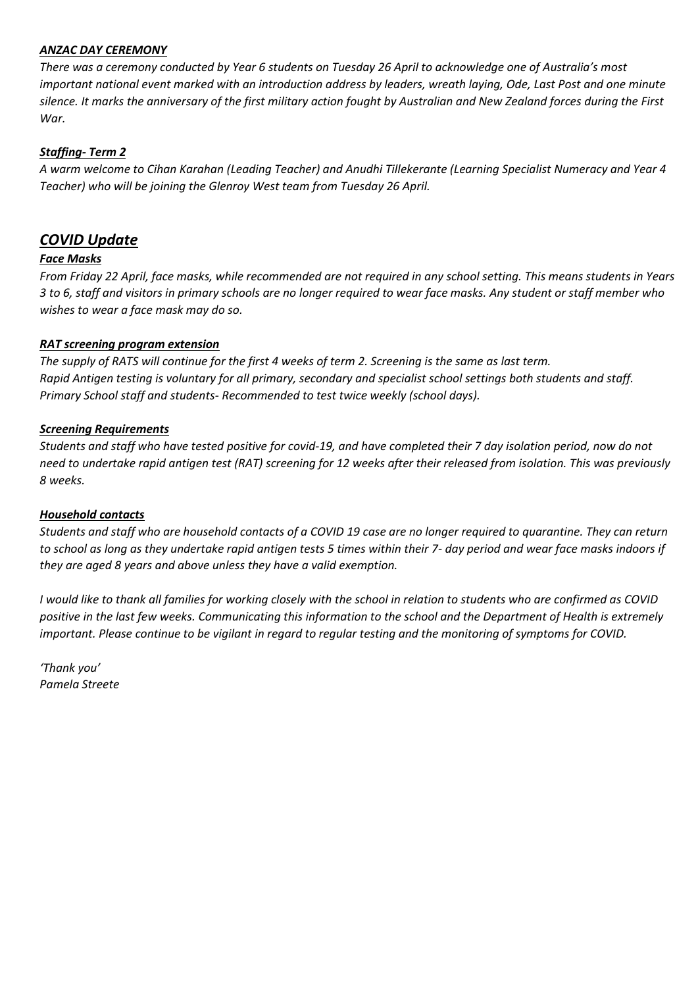#### *ANZAC DAY CEREMONY*

*There was a ceremony conducted by Year 6 students on Tuesday 26 April to acknowledge one of Australia's most important national event marked with an introduction address by leaders, wreath laying, Ode, Last Post and one minute silence. It marks the anniversary of the first military action fought by Australian and New Zealand forces during the First War.* 

#### *Staffing- Term 2*

*A warm welcome to Cihan Karahan (Leading Teacher) and Anudhi Tillekerante (Learning Specialist Numeracy and Year 4 Teacher) who will be joining the Glenroy West team from Tuesday 26 April.*

#### *COVID Update*

#### *Face Masks*

*From Friday 22 April, face masks, while recommended are not required in any school setting. This means students in Years 3 to 6, staff and visitors in primary schools are no longer required to wear face masks. Any student or staff member who wishes to wear a face mask may do so.*

#### *RAT screening program extension*

*The supply of RATS will continue for the first 4 weeks of term 2. Screening is the same as last term. Rapid Antigen testing is voluntary for all primary, secondary and specialist school settings both students and staff. Primary School staff and students- Recommended to test twice weekly (school days).*

#### *Screening Requirements*

*Students and staff who have tested positive for covid-19, and have completed their 7 day isolation period, now do not need to undertake rapid antigen test (RAT) screening for 12 weeks after their released from isolation. This was previously 8 weeks.*

#### *Household contacts*

*Students and staff who are household contacts of a COVID 19 case are no longer required to quarantine. They can return to school as long as they undertake rapid antigen tests 5 times within their 7- day period and wear face masks indoors if they are aged 8 years and above unless they have a valid exemption.*

*I would like to thank all families for working closely with the school in relation to students who are confirmed as COVID positive in the last few weeks. Communicating this information to the school and the Department of Health is extremely important. Please continue to be vigilant in regard to regular testing and the monitoring of symptoms for COVID.*

*'Thank you' Pamela Streete*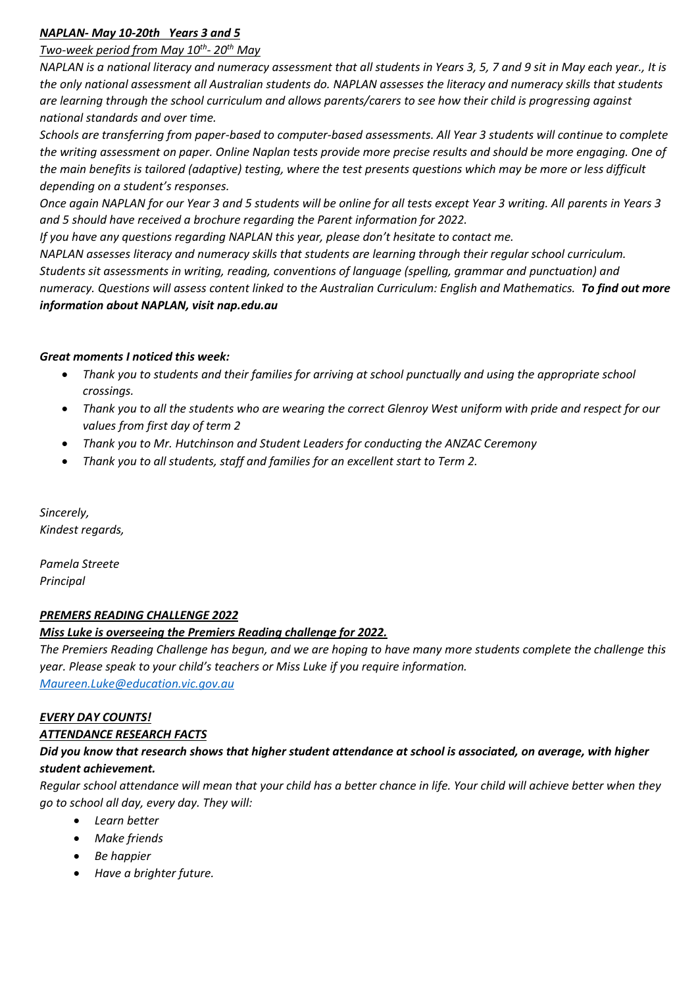#### *NAPLAN- May 10-20th Years 3 and 5*

#### *Two-week period from May 10th - 20th May*

*NAPLAN is a national literacy and numeracy assessment that all students in Years 3, 5, 7 and 9 sit in May each year., It is the only national assessment all Australian students do. NAPLAN assesses the literacy and numeracy skills that students are learning through the school curriculum and allows parents/carers to see how their child is progressing against national standards and over time.*

*Schools are transferring from paper-based to computer-based assessments. All Year 3 students will continue to complete the writing assessment on paper. Online Naplan tests provide more precise results and should be more engaging. One of the main benefits is tailored (adaptive) testing, where the test presents questions which may be more or less difficult depending on a student's responses.*

*Once again NAPLAN for our Year 3 and 5 students will be online for all tests except Year 3 writing. All parents in Years 3 and 5 should have received a brochure regarding the Parent information for 2022.* 

*If you have any questions regarding NAPLAN this year, please don't hesitate to contact me.*

*NAPLAN assesses literacy and numeracy skills that students are learning through their regular school curriculum. Students sit assessments in writing, reading, conventions of language (spelling, grammar and punctuation) and numeracy. Questions will assess content linked to the Australian Curriculum: English and Mathematics. To find out more information about NAPLAN, visit nap.edu.au*

#### *Great moments I noticed this week:*

- *Thank you to students and their families for arriving at school punctually and using the appropriate school crossings.*
- *Thank you to all the students who are wearing the correct Glenroy West uniform with pride and respect for our values from first day of term 2*
- *Thank you to Mr. Hutchinson and Student Leaders for conducting the ANZAC Ceremony*
- *Thank you to all students, staff and families for an excellent start to Term 2.*

*Sincerely, Kindest regards,*

*Pamela Streete Principal* 

#### *PREMERS READING CHALLENGE 2022*

#### *Miss Luke is overseeing the Premiers Reading challenge for 2022.*

*The Premiers Reading Challenge has begun, and we are hoping to have many more students complete the challenge this year. Please speak to your child's teachers or Miss Luke if you require information. [Maureen.Luke@education.vic.gov.au](mailto:Maureen.Luke@education.vic.gov.au)*

#### *EVERY DAY COUNTS!*

#### *ATTENDANCE RESEARCH FACTS*

#### *Did you know that research shows that higher student attendance at school is associated, on average, with higher student achievement.*

*Regular school attendance will mean that your child has a better chance in life. Your child will achieve better when they go to school all day, every day. They will:*

- *Learn better*
- *Make friends*
- *Be happier*
- *Have a brighter future.*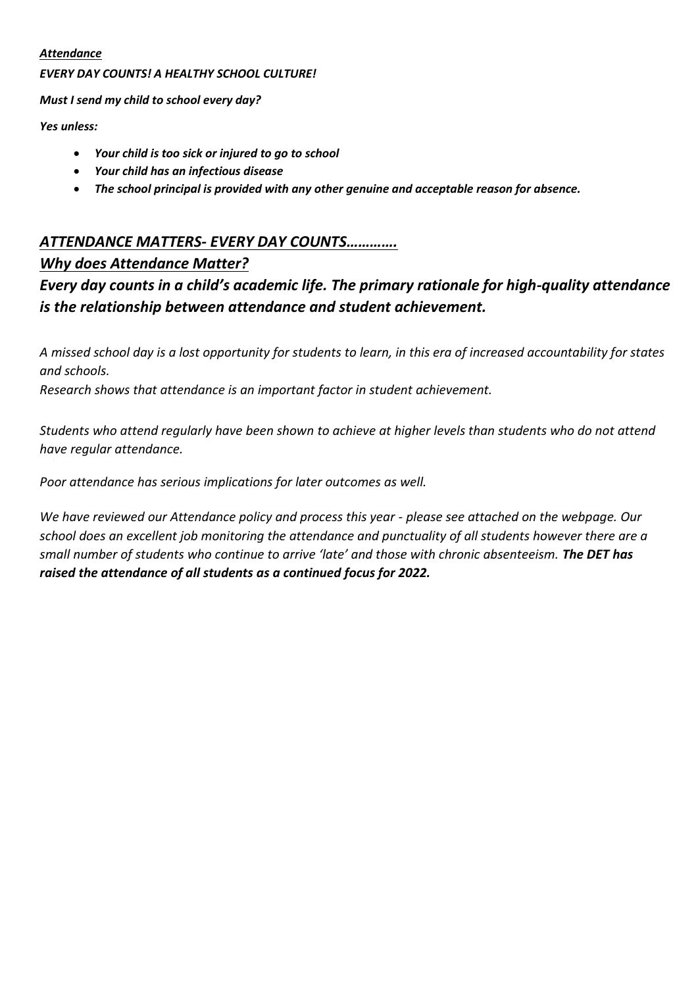#### *Attendance*

#### *EVERY DAY COUNTS! A HEALTHY SCHOOL CULTURE!*

*Must I send my child to school every day?*

*Yes unless:*

- *Your child is too sick or injured to go to school*
- *Your child has an infectious disease*
- *The school principal is provided with any other genuine and acceptable reason for absence.*

#### *ATTENDANCE MATTERS- EVERY DAY COUNTS………….*

#### *Why does Attendance Matter?*

#### *Every day counts in a child's academic life. The primary rationale for high-quality attendance is the relationship between attendance and student achievement.*

*A missed school day is a lost opportunity for students to learn, in this era of increased accountability for states and schools.* 

*Research shows that attendance is an important factor in student achievement.* 

*Students who attend regularly have been shown to achieve at higher levels than students who do not attend have regular attendance.* 

*Poor attendance has serious implications for later outcomes as well.* 

*We have reviewed our Attendance policy and process this year - please see attached on the webpage. Our school does an excellent job monitoring the attendance and punctuality of all students however there are a small number of students who continue to arrive 'late' and those with chronic absenteeism. The DET has raised the attendance of all students as a continued focus for 2022.*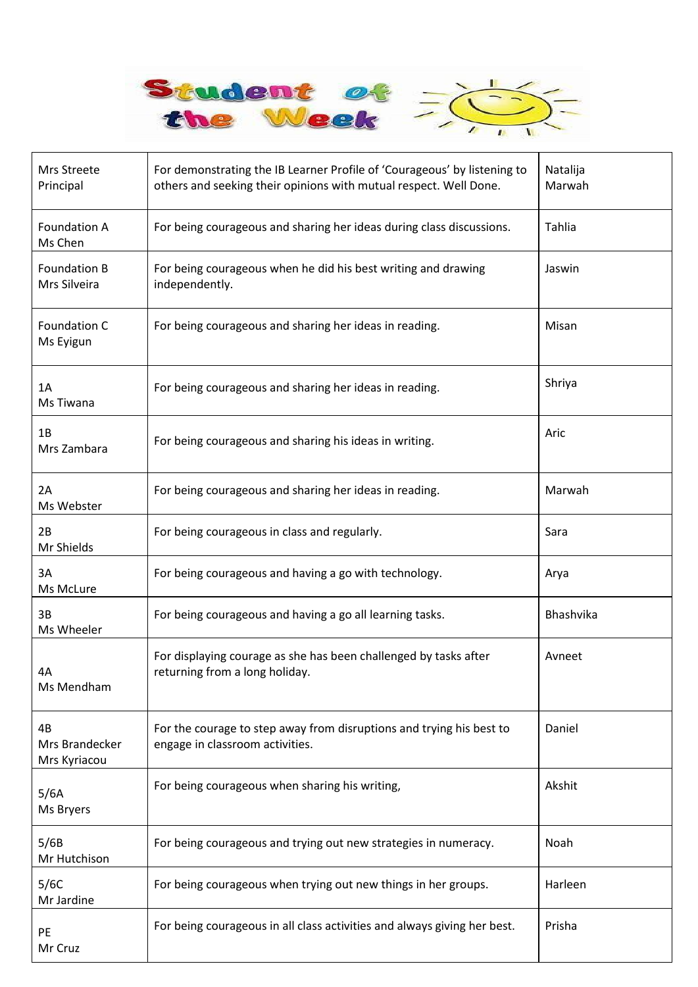

| Mrs Streete<br>Principal             | For demonstrating the IB Learner Profile of 'Courageous' by listening to<br>others and seeking their opinions with mutual respect. Well Done. | Natalija<br>Marwah |
|--------------------------------------|-----------------------------------------------------------------------------------------------------------------------------------------------|--------------------|
| <b>Foundation A</b><br>Ms Chen       | For being courageous and sharing her ideas during class discussions.                                                                          | Tahlia             |
| <b>Foundation B</b><br>Mrs Silveira  | For being courageous when he did his best writing and drawing<br>independently.                                                               | Jaswin             |
| Foundation C<br>Ms Eyigun            | For being courageous and sharing her ideas in reading.                                                                                        | Misan              |
| 1A<br>Ms Tiwana                      | For being courageous and sharing her ideas in reading.                                                                                        | Shriya             |
| 1B<br>Mrs Zambara                    | For being courageous and sharing his ideas in writing.                                                                                        | Aric               |
| 2A<br>Ms Webster                     | For being courageous and sharing her ideas in reading.                                                                                        | Marwah             |
| 2B<br>Mr Shields                     | For being courageous in class and regularly.                                                                                                  | Sara               |
| 3A<br>Ms McLure                      | For being courageous and having a go with technology.                                                                                         | Arya               |
| 3B<br>Ms Wheeler                     | For being courageous and having a go all learning tasks.                                                                                      | Bhashvika          |
| 4Α<br>Ms Mendham                     | For displaying courage as she has been challenged by tasks after<br>returning from a long holiday.                                            | Avneet             |
| 4B<br>Mrs Brandecker<br>Mrs Kyriacou | For the courage to step away from disruptions and trying his best to<br>engage in classroom activities.                                       | Daniel             |
| 5/6A<br>Ms Bryers                    | For being courageous when sharing his writing,                                                                                                | Akshit             |
| 5/6B<br>Mr Hutchison                 | For being courageous and trying out new strategies in numeracy.                                                                               | Noah               |
| 5/6C<br>Mr Jardine                   | For being courageous when trying out new things in her groups.                                                                                | Harleen            |
| PE<br>Mr Cruz                        | For being courageous in all class activities and always giving her best.                                                                      | Prisha             |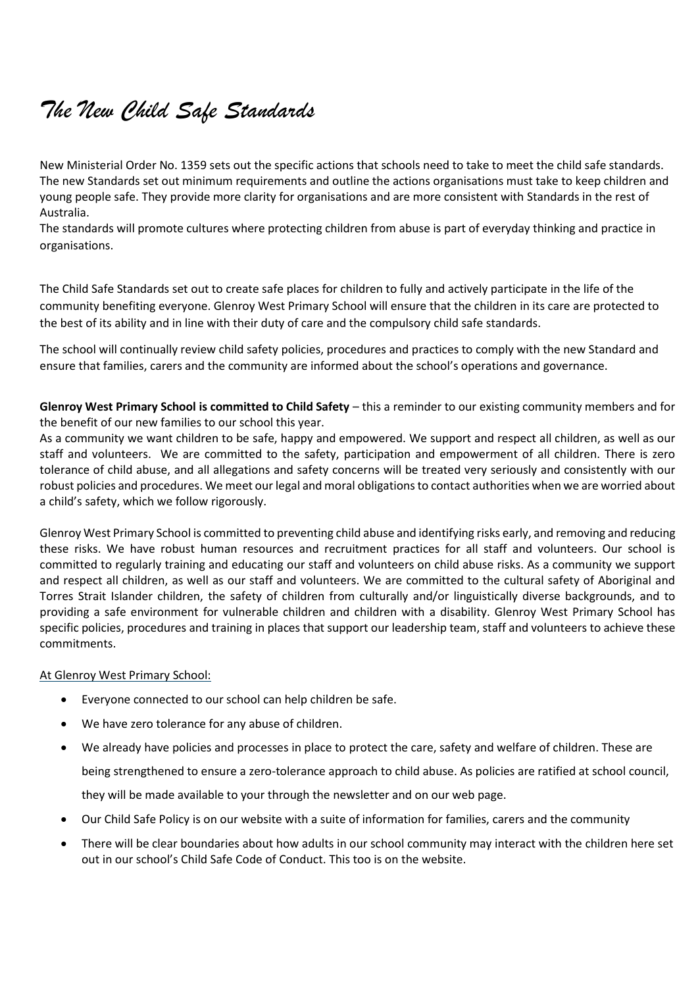## *The New Child Safe Standards*

New Ministerial Order No. 1359 sets out the specific actions that schools need to take to meet the child safe standards. The new Standards set out minimum requirements and outline the actions organisations must take to keep children and young people safe. They provide more clarity for organisations and are more consistent with Standards in the rest of Australia.

The standards will promote cultures where protecting children from abuse is part of everyday thinking and practice in organisations.

The Child Safe Standards set out to create safe places for children to fully and actively participate in the life of the community benefiting everyone. Glenroy West Primary School will ensure that the children in its care are protected to the best of its ability and in line with their duty of care and the compulsory child safe standards.

The school will continually review child safety policies, procedures and practices to comply with the new Standard and ensure that families, carers and the community are informed about the school's operations and governance.

**Glenroy West Primary School is committed to Child Safety** – this a reminder to our existing community members and for the benefit of our new families to our school this year.

As a community we want children to be safe, happy and empowered. We support and respect all children, as well as our staff and volunteers. We are committed to the safety, participation and empowerment of all children. There is zero tolerance of child abuse, and all allegations and safety concerns will be treated very seriously and consistently with our robust policies and procedures. We meet our legal and moral obligations to contact authorities when we are worried about a child's safety, which we follow rigorously.

Glenroy West Primary School is committed to preventing child abuse and identifying risks early, and removing and reducing these risks. We have robust human resources and recruitment practices for all staff and volunteers. Our school is committed to regularly training and educating our staff and volunteers on child abuse risks. As a community we support and respect all children, as well as our staff and volunteers. We are committed to the cultural safety of Aboriginal and Torres Strait Islander children, the safety of children from culturally and/or linguistically diverse backgrounds, and to providing a safe environment for vulnerable children and children with a disability. Glenroy West Primary School has specific policies, procedures and training in places that support our leadership team, staff and volunteers to achieve these commitments.

#### At Glenroy West Primary School:

- Everyone connected to our school can help children be safe.
- We have zero tolerance for any abuse of children.
- We already have policies and processes in place to protect the care, safety and welfare of children. These are being strengthened to ensure a zero-tolerance approach to child abuse. As policies are ratified at school council, they will be made available to your through the newsletter and on our web page.
- Our Child Safe Policy is on our website with a suite of information for families, carers and the community
- There will be clear boundaries about how adults in our school community may interact with the children here set out in our school's Child Safe Code of Conduct. This too is on the website.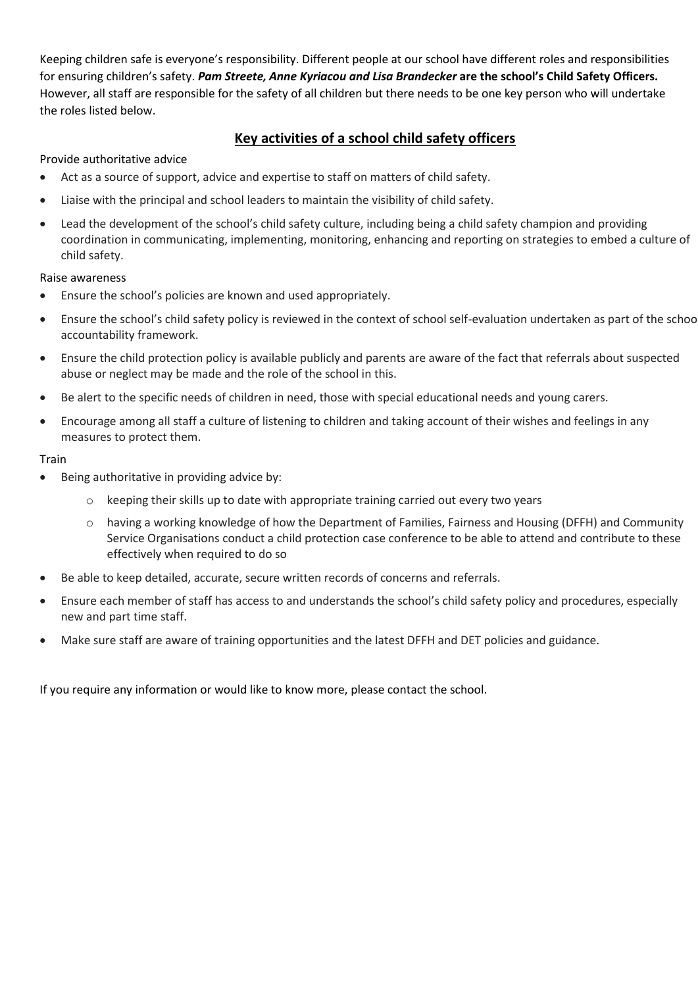Keeping children safe is everyone's responsibility. Different people at our school have different roles and responsibilities for ensuring children's safety. *Pam Streete, Anne Kyriacou and Lisa Brandecker* **are the school's Child Safety Officers.** However, all staff are responsible for the safety of all children but there needs to be one key person who will undertake the roles listed below.

#### **Key activities of a school child safety officers**

#### Provide authoritative advice

- Act as a source of support, advice and expertise to staff on matters of child safety.
- Liaise with the principal and school leaders to maintain the visibility of child safety.
- Lead the development of the school's child safety culture, including being a child safety champion and providing coordination in communicating, implementing, monitoring, enhancing and reporting on strategies to embed a culture of child safety.

#### Raise awareness

- Ensure the school's policies are known and used appropriately.
- Ensure the school's child safety policy is reviewed in the context of school self-evaluation undertaken as part of the school accountability framework.
- Ensure the child protection policy is available publicly and parents are aware of the fact that referrals about suspected abuse or neglect may be made and the role of the school in this.
- Be alert to the specific needs of children in need, those with special educational needs and young carers.
- Encourage among all staff a culture of listening to children and taking account of their wishes and feelings in any measures to protect them.

#### Train

- Being authoritative in providing advice by:
	- $\circ$  keeping their skills up to date with appropriate training carried out every two years
	- $\circ$  having a working knowledge of how the Department of Families, Fairness and Housing (DFFH) and Community Service Organisations conduct a child protection case conference to be able to attend and contribute to these effectively when required to do so
- Be able to keep detailed, accurate, secure written records of concerns and referrals.
- Ensure each member of staff has access to and understands the school's child safety policy and procedures, especially new and part time staff.
- Make sure staff are aware of training opportunities and the latest DFFH and DET policies and guidance.

If you require any information or would like to know more, please contact the school.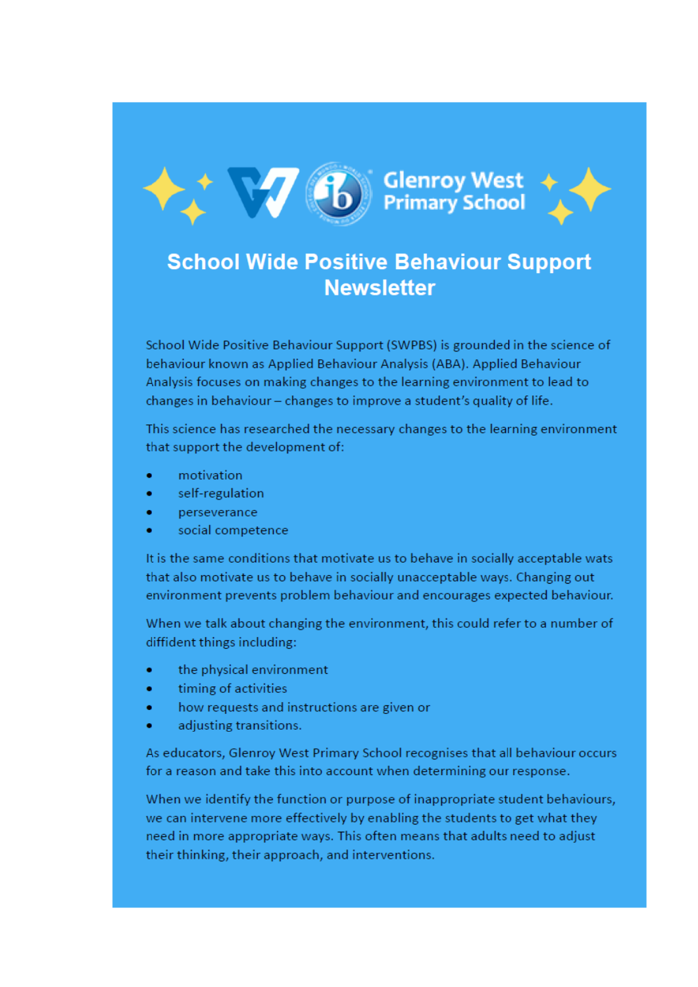

# **17 (B)** Glenroy West



## **School Wide Positive Behaviour Support Newsletter**

School Wide Positive Behaviour Support (SWPBS) is grounded in the science of behaviour known as Applied Behaviour Analysis (ABA). Applied Behaviour Analysis focuses on making changes to the learning environment to lead to changes in behaviour – changes to improve a student's quality of life.

This science has researched the necessary changes to the learning environment that support the development of:

- motivation
- self-regulation
- perseverance
- social competence

It is the same conditions that motivate us to behave in socially acceptable wats that also motivate us to behave in socially unacceptable ways. Changing out environment prevents problem behaviour and encourages expected behaviour.

When we talk about changing the environment, this could refer to a number of diffident things including:

- the physical environment
- timing of activities
- how requests and instructions are given or
- adjusting transitions.

As educators, Glenroy West Primary School recognises that all behaviour occurs for a reason and take this into account when determining our response.

When we identify the function or purpose of inappropriate student behaviours, we can intervene more effectively by enabling the students to get what they need in more appropriate ways. This often means that adults need to adjust their thinking, their approach, and interventions.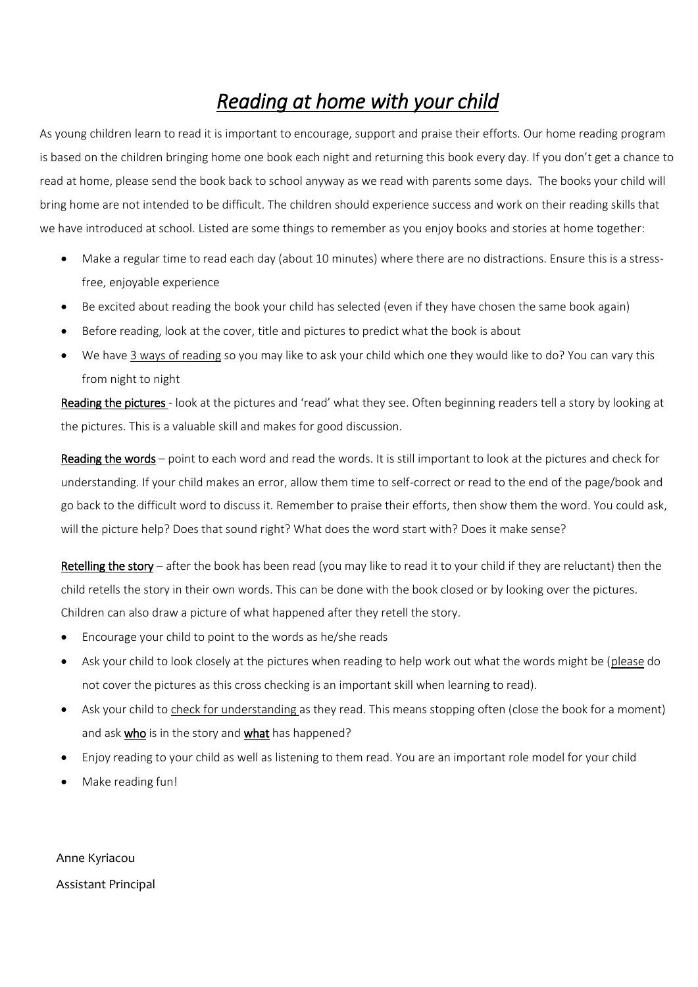## *Reading at home with your child*

As young children learn to read it is important to encourage, support and praise their efforts. Our home reading program is based on the children bringing home one book each night and returning this book every day. If you don't get a chance to read at home, please send the book back to school anyway as we read with parents some days. The books your child will bring home are not intended to be difficult. The children should experience success and work on their reading skills that we have introduced at school. Listed are some things to remember as you enjoy books and stories at home together:

- Make a regular time to read each day (about 10 minutes) where there are no distractions. Ensure this is a stressfree, enjoyable experience
- Be excited about reading the book your child has selected (even if they have chosen the same book again)
- Before reading, look at the cover, title and pictures to predict what the book is about
- We have 3 ways of reading so you may like to ask your child which one they would like to do? You can vary this from night to night

Reading the pictures - look at the pictures and 'read' what they see. Often beginning readers tell a story by looking at the pictures. This is a valuable skill and makes for good discussion.

Reading the words – point to each word and read the words. It is still important to look at the pictures and check for understanding. If your child makes an error, allow them time to self-correct or read to the end of the page/book and go back to the difficult word to discuss it. Remember to praise their efforts, then show them the word. You could ask, will the picture help? Does that sound right? What does the word start with? Does it make sense?

Retelling the story – after the book has been read (you may like to read it to your child if they are reluctant) then the child retells the story in their own words. This can be done with the book closed or by looking over the pictures. Children can also draw a picture of what happened after they retell the story.

- Encourage your child to point to the words as he/she reads
- Ask your child to look closely at the pictures when reading to help work out what the words might be (please do not cover the pictures as this cross checking is an important skill when learning to read).
- Ask your child to check for understanding as they read. This means stopping often (close the book for a moment) and ask who is in the story and what has happened?
- Enjoy reading to your child as well as listening to them read. You are an important role model for your child
- Make reading fun!

Anne Kyriacou Assistant Principal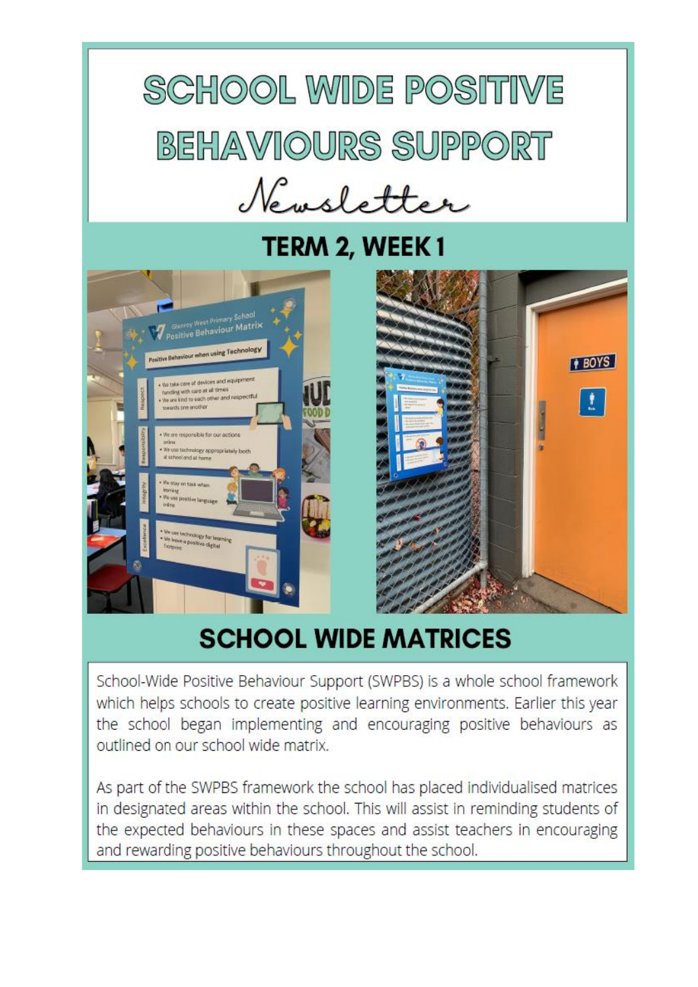# **SCHOOL WIDE POSITIVE** BEHAVIOURS SUPPORT Newsletter

## TERM 2, WEEK 1





## **SCHOOL WIDE MATRICES**

School-Wide Positive Behaviour Support (SWPBS) is a whole school framework which helps schools to create positive learning environments. Earlier this year the school began implementing and encouraging positive behaviours as outlined on our school wide matrix.

As part of the SWPBS framework the school has placed individualised matrices in designated areas within the school. This will assist in reminding students of the expected behaviours in these spaces and assist teachers in encouraging and rewarding positive behaviours throughout the school.